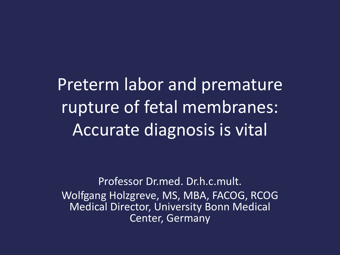Preterm labor and premature rupture of fetal membranes: Accurate diagnosis is vital

Professor Dr.med. Dr.h.c.mult. Wolfgang Holzgreve, MS, MBA, FACOG, RCOG Medical Director, University Bonn Medical Center, Germany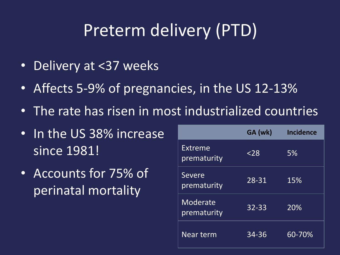## Preterm delivery (PTD)

- Delivery at <37 weeks
- Affects 5-9% of pregnancies, in the US 12-13%
- The rate has risen in most industrialized countries
- In the US 38% increase since 1981!
- Accounts for 75% of perinatal mortality

|                         | GA (wk)   | <b>Incidence</b> |
|-------------------------|-----------|------------------|
| Extreme<br>prematurity  | $<$ 28    | 5%               |
| Severe<br>prematurity   | 28-31     | 15%              |
| Moderate<br>prematurity | $32 - 33$ | 20%              |
| Near term               | 34-36     | 60-70%           |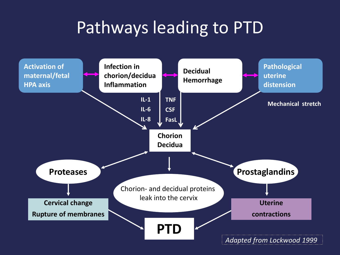## Pathways leading to PTD

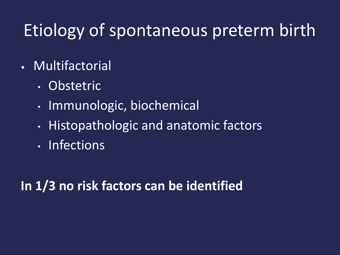## Etiology of spontaneous preterm birth

- Multifactorial
	- Obstetric
	- Immunologic, biochemical
	- Histopathologic and anatomic factors
	- Infections

**In 1/3 no risk factors can be identified**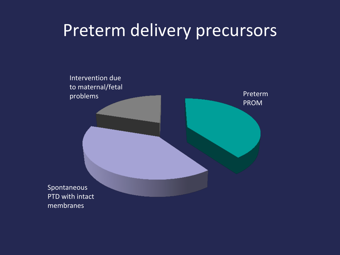### Preterm delivery precursors

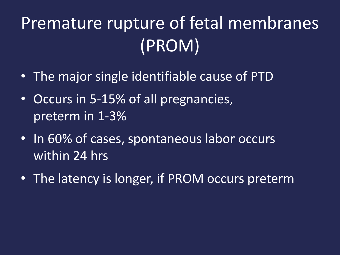## Premature rupture of fetal membranes (PROM)

- The major single identifiable cause of PTD
- Occurs in 5-15% of all pregnancies, preterm in 1-3%
- In 60% of cases, spontaneous labor occurs within 24 hrs
- The latency is longer, if PROM occurs preterm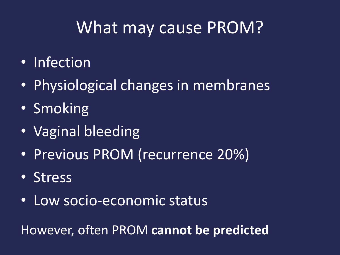## What may cause PROM?

- Infection
- Physiological changes in membranes
- Smoking
- Vaginal bleeding
- Previous PROM (recurrence 20%)
- Stress
- Low socio-economic status

However, often PROM **cannot be predicted**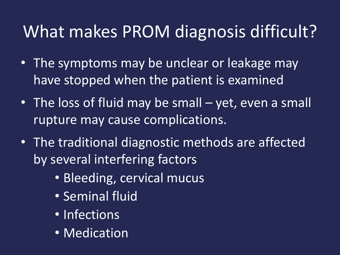## What makes PROM diagnosis difficult?

- The symptoms may be unclear or leakage may have stopped when the patient is examined
- The loss of fluid may be small yet, even a small rupture may cause complications.
- The traditional diagnostic methods are affected by several interfering factors
	- Bleeding, cervical mucus
	- Seminal fluid
	- Infections
	- Medication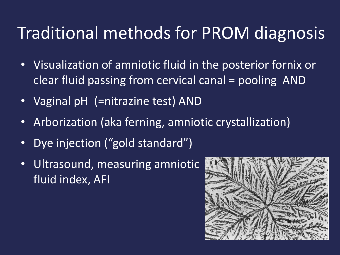## Traditional methods for PROM diagnosis

- Visualization of amniotic fluid in the posterior fornix or clear fluid passing from cervical canal = pooling AND
- Vaginal pH (=nitrazine test) AND
- Arborization (aka ferning, amniotic crystallization)
- Dye injection ("gold standard")
- Ultrasound, measuring amniotic fluid index, AFI

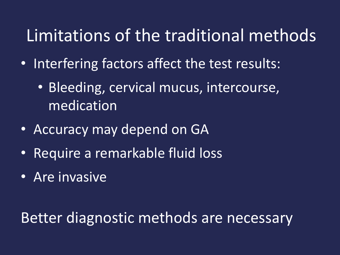## Limitations of the traditional methods

- Interfering factors affect the test results:
	- Bleeding, cervical mucus, intercourse, medication
- Accuracy may depend on GA
- Require a remarkable fluid loss
- Are invasive

Better diagnostic methods are necessary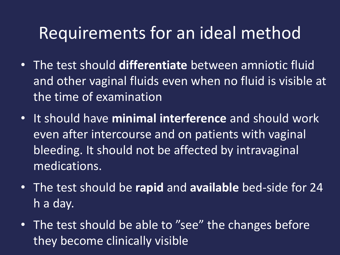### Requirements for an ideal method

- The test should **differentiate** between amniotic fluid and other vaginal fluids even when no fluid is visible at the time of examination
- It should have **minimal interference** and should work even after intercourse and on patients with vaginal bleeding. It should not be affected by intravaginal medications.
- The test should be **rapid** and **available** bed-side for 24 h a day.
- The test should be able to "see" the changes before they become clinically visible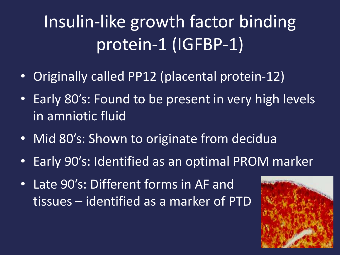# Insulin-like growth factor binding protein-1 (IGFBP-1)

- Originally called PP12 (placental protein-12)
- Early 80's: Found to be present in very high levels in amniotic fluid
- Mid 80's: Shown to originate from decidua
- Early 90's: Identified as an optimal PROM marker
- Late 90's: Different forms in AF and tissues – identified as a marker of PTD

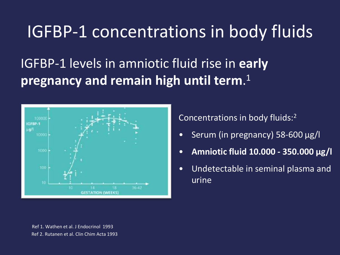### IGFBP-1 concentrations in body fluids

### IGFBP-1 levels in amniotic fluid rise in **early pregnancy and remain high until term**. 1



Concentrations in body fluids:<sup>2</sup>

- Serum (in pregnancy) 58-600 µg/l
- **Amniotic fluid 10.000 - 350.000 µg/l**
- Undetectable in seminal plasma and urine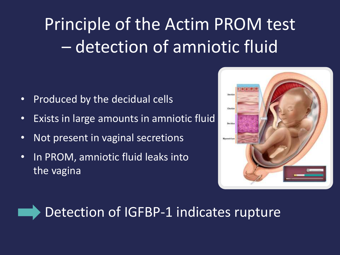# Principle of the Actim PROM test – detection of amniotic fluid

- Produced by the decidual cells
- Exists in large amounts in amniotic fluid
- Not present in vaginal secretions
- In PROM, amniotic fluid leaks into the vagina





### Detection of IGFBP-1 indicates rupture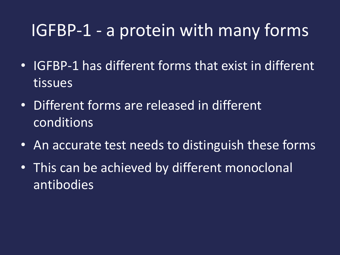## IGFBP-1 - a protein with many forms

- IGFBP-1 has different forms that exist in different tissues
- Different forms are released in different conditions
- An accurate test needs to distinguish these forms
- This can be achieved by different monoclonal antibodies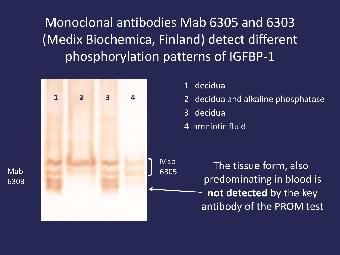Monoclonal antibodies Mab 6305 and 6303 (Medix Biochemica, Finland) detect different phosphorylation patterns of IGFBP-1



Mab

6303

- 1 decidua
- 2 decidua and alkaline phosphatase
- 3 decidua
- 4 amniotic fluid

 The tissue form, also predominating in blood is **not detected** by the key antibody of the PROM test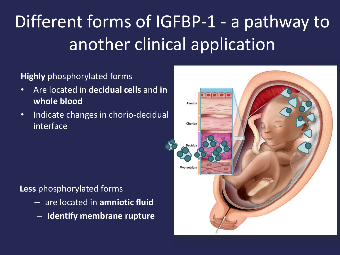# Different forms of IGFBP-1 - a pathway to another clinical application

#### **Highly** phosphorylated forms

- Are located in **decidual cells** and **in whole blood**
- Indicate changes in chorio-decidual interface

#### **Less** phosphorylated forms

- are located in **amniotic fluid**
- **Identify membrane rupture**

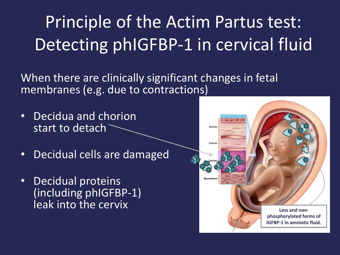Principle of the Actim Partus test: Detecting phIGFBP-1 in cervical fluid

When there are clinically significant changes in fetal membranes (e.g. due to contractions)

- Decidua and chorion start to detach
- Decidual cells are damaged
- Decidual proteins (including phIGFBP-1)

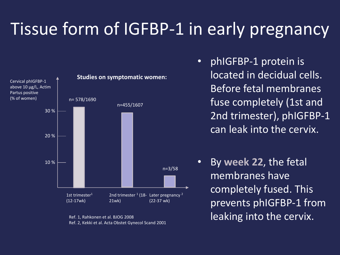## Tissue form of IGFBP-1 in early pregnancy



Ref. 1, Rahkonen et al. BJOG 2008 Ref. 2, Kekki et al. Acta Obstet Gynecol Scand 2001

- phIGFBP-1 protein is located in decidual cells. Before fetal membranes fuse completely (1st and 2nd trimester), phIGFBP-1 can leak into the cervix.
- By **week 22**, the fetal membranes have completely fused. This prevents phIGFBP-1 from leaking into the cervix.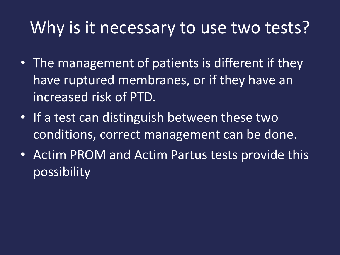## Why is it necessary to use two tests?

- The management of patients is different if they have ruptured membranes, or if they have an increased risk of PTD.
- If a test can distinguish between these two conditions, correct management can be done.
- Actim PROM and Actim Partus tests provide this possibility